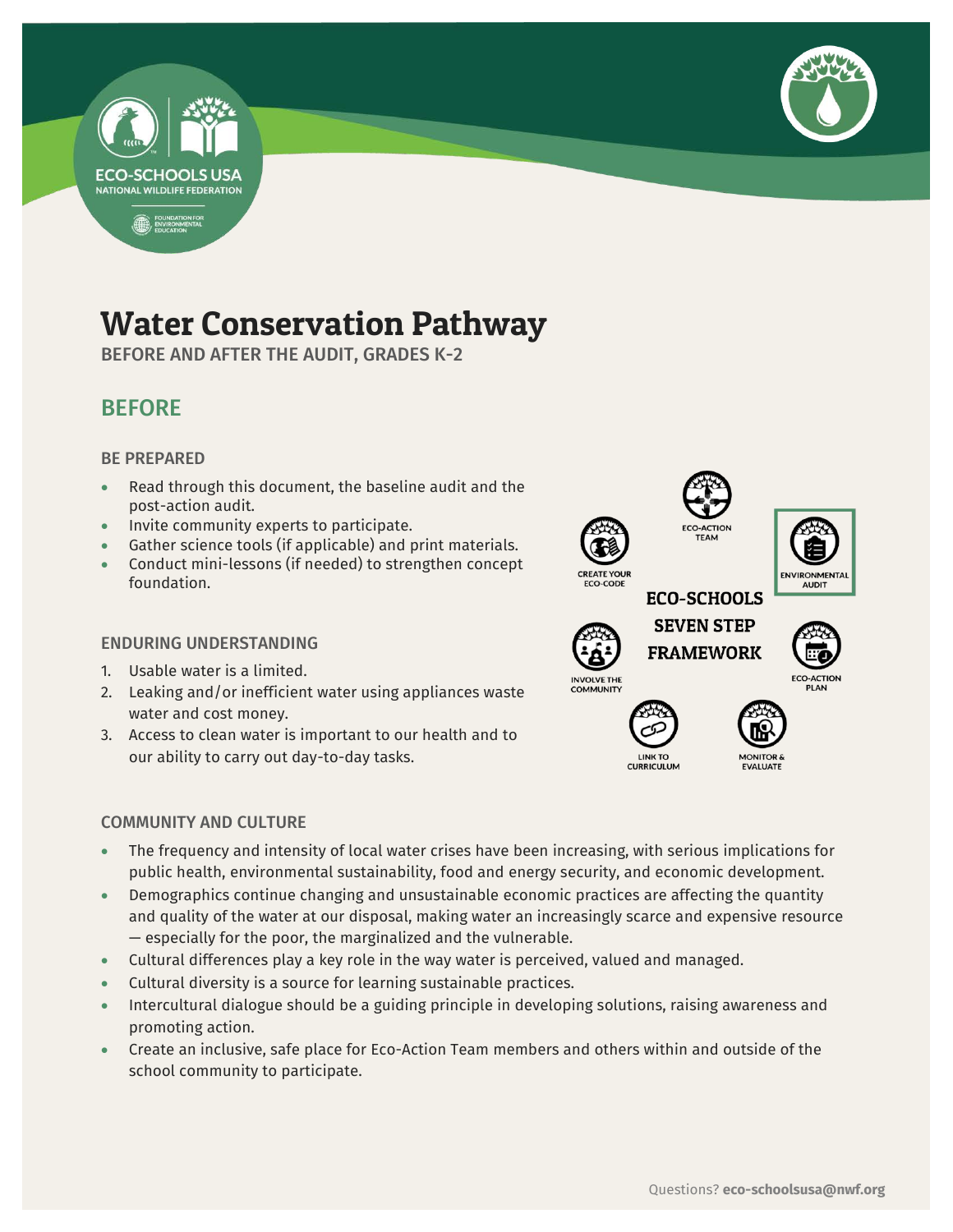



# Water Conservation Pathway

BEFORE AND AFTER THE AUDIT, GRADES K-2



## BE PREPARED

- Read through this document, the baseline audit and the post-action audit.
- Invite community experts to participate.
- Gather science tools (if applicable) and print materials.
- Conduct mini-lessons (if needed) to strengthen concept foundation.

### ENDURING UNDERSTANDING

- 1. Usable water is a limited.
- 2. Leaking and/or inefficient water using appliances waste water and cost money.
- 3. Access to clean water is important to our health and to our ability to carry out day-to-day tasks.



**CURRICULUM** 

# COMMUNITY AND CULTURE

- The frequency and intensity of local water crises have been increasing, with serious implications for public health, environmental sustainability, food and energy security, and economic development.
- Demographics continue changing and unsustainable economic practices are affecting the quantity and quality of the water at our disposal, making water an increasingly scarce and expensive resource — especially for the poor, the marginalized and the vulnerable.
- Cultural differences play a key role in the way water is perceived, valued and managed.
- Cultural diversity is a source for learning sustainable practices.
- Intercultural dialogue should be a guiding principle in developing solutions, raising awareness and promoting action.
- Create an inclusive, safe place for Eco-Action Team members and others within and outside of the school community to participate.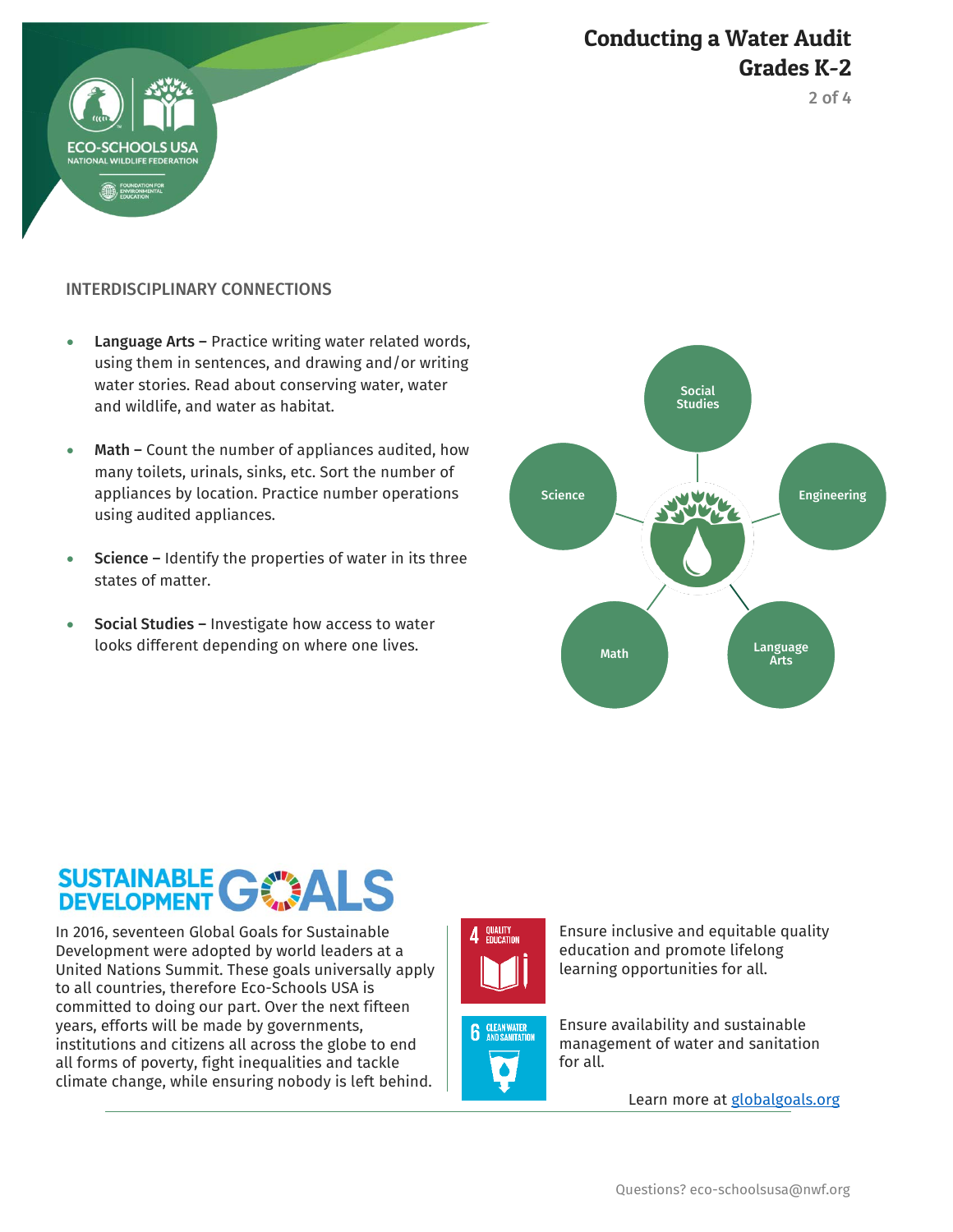





# INTERDISCIPLINARY CONNECTIONS

- Language Arts Practice writing water related words, using them in sentences, and drawing and/or writing water stories. Read about conserving water, water and wildlife, and water as habitat.
- Math Count the number of appliances audited, how many toilets, urinals, sinks, etc. Sort the number of appliances by location. Practice number operations using audited appliances.
- **Science Identify the properties of water in its three** states of matter.
- Social Studies Investigate how access to water looks different depending on where one lives.



# SUSTAINABLE GWALS

In 2016, seventeen Global Goals for Sustainable Development were adopted by world leaders at a United Nations Summit. These goals universally apply to all countries, therefore Eco-Schools USA is committed to doing our part. Over the next fifteen years, efforts will be made by governments, institutions and citizens all across the globe to end all forms of poverty, fight inequalities and tackle climate change, while ensuring nobody is left behind.





Ensure inclusive and equitable quality education and promote lifelong learning opportunities for all.

Ensure availability and sustainable management of water and sanitation for all.

Learn more at [globalgoals.org](https://www.globalgoals.org/)

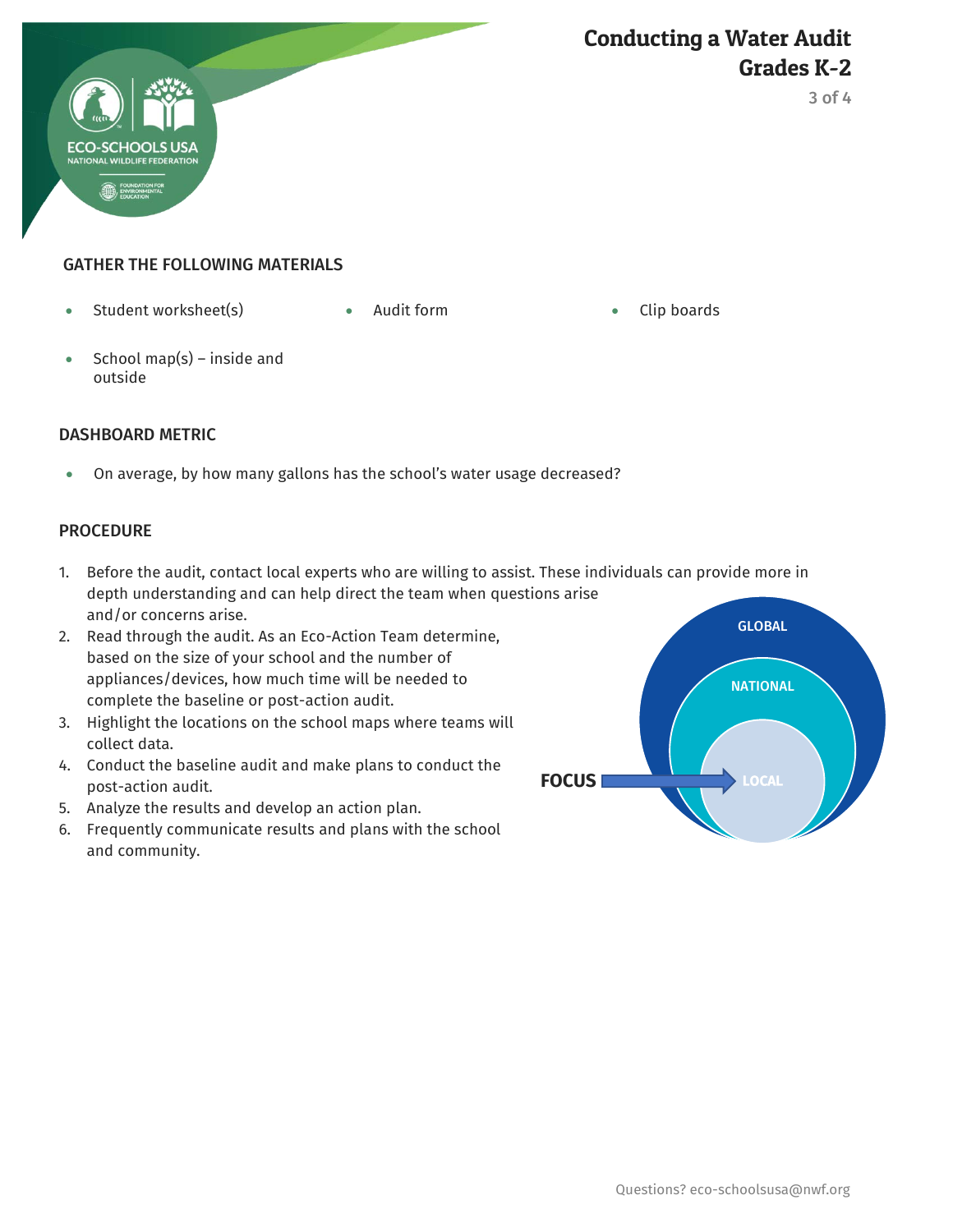

3 of 4

# GATHER THE FOLLOWING MATERIALS

• Student worksheet(s) Audit form Clip boards

 $\bullet$  School map(s) – inside and outside

#### DASHBOARD METRIC

On average, by how many gallons has the school's water usage decreased?

#### **PROCEDURE**

- 1. Before the audit, contact local experts who are willing to assist. These individuals can provide more in depth understanding and can help direct the team when questions arise and/or concerns arise.
- 2. Read through the audit. As an Eco-Action Team determine, based on the size of your school and the number of appliances/devices, how much time will be needed to complete the baseline or post-action audit.
- 3. Highlight the locations on the school maps where teams will collect data.
- 4. Conduct the baseline audit and make plans to conduct the post-action audit.
- 5. Analyze the results and develop an action plan.
- 6. Frequently communicate results and plans with the school and community.